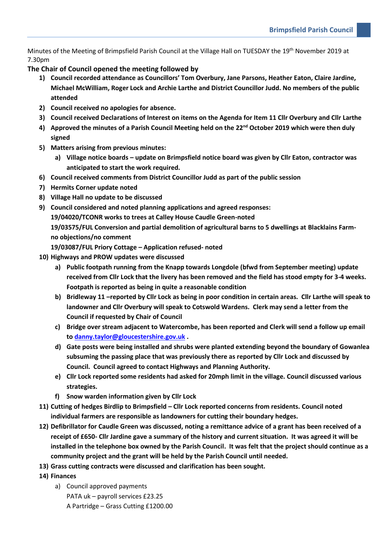Minutes of the Meeting of Brimpsfield Parish Council at the Village Hall on TUESDAY the 19<sup>th</sup> November 2019 at 7.30pm

**The Chair of Council opened the meeting followed by**

- **1) Council recorded attendance as Councillors' Tom Overbury, Jane Parsons, Heather Eaton, Claire Jardine, Michael McWilliam, Roger Lock and Archie Larthe and District Councillor Judd. No members of the public attended**
- **2) Council received no apologies for absence.**
- **3) Council received Declarations of Interest on items on the Agenda for Item 11 Cllr Overbury and Cllr Larthe**
- **4) Approved the minutes of a Parish Council Meeting held on the 22nd October 2019 which were then duly signed**
- **5) Matters arising from previous minutes:**
	- **a) Village notice boards – update on Brimpsfield notice board was given by Cllr Eaton, contractor was anticipated to start the work required.**
- **6) Council received comments from District Councillor Judd as part of the public session**
- **7) Hermits Corner update noted**
- **8) Village Hall no update to be discussed**
- **9) Council considered and noted planning applications and agreed responses:**

**19/04020/TCONR works to trees at Calley House Caudle Green-noted**

**19/03575/FUL Conversion and partial demolition of agricultural barns to 5 dwellings at Blacklains Farmno objections/no comment**

**19/03087/FUL Priory Cottage – Application refused- noted**

- **10) Highways and PROW updates were discussed** 
	- **a) Public footpath running from the Knapp towards Longdole (bfwd from September meeting) update received from Cllr Lock that the livery has been removed and the field has stood empty for 3-4 weeks. Footpath is reported as being in quite a reasonable condition**
	- **b) Bridleway 11 –reported by Cllr Lock as being in poor condition in certain areas. Cllr Larthe will speak to landowner and Cllr Overbury will speak to Cotswold Wardens. Clerk may send a letter from the Council if requested by Chair of Council**
	- **c) Bridge over stream adjacent to Watercombe, has been reported and Clerk will send a follow up email to [danny.taylor@gloucestershire.gov.uk](mailto:danny.taylor@gloucestershire.gov.uk) .**
	- **d) Gate posts were being installed and shrubs were planted extending beyond the boundary of Gowanlea subsuming the passing place that was previously there as reported by Cllr Lock and discussed by Council. Council agreed to contact Highways and Planning Authority.**
	- **e) Cllr Lock reported some residents had asked for 20mph limit in the village. Council discussed various strategies.**
	- **f) Snow warden information given by Cllr Lock**
- **11) Cutting of hedges Birdlip to Brimpsfield – Cllr Lock reported concerns from residents. Council noted individual farmers are responsible as landowners for cutting their boundary hedges.**
- **12) Defibrillator for Caudle Green was discussed, noting a remittance advice of a grant has been received of a receipt of £650- Cllr Jardine gave a summary of the history and current situation. It was agreed it will be installed in the telephone box owned by the Parish Council. It was felt that the project should continue as a community project and the grant will be held by the Parish Council until needed.**
- **13) Grass cutting contracts were discussed and clarification has been sought.**
- **14) Finances**
	- a) Council approved payments PATA uk – payroll services £23.25 A Partridge – Grass Cutting £1200.00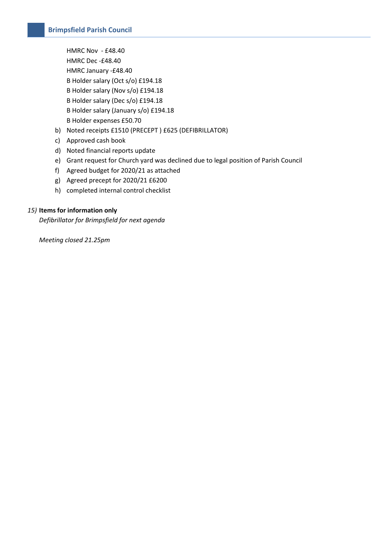HMRC Nov - £48.40 HMRC Dec -£48.40 HMRC January -£48.40 B Holder salary (Oct s/o) £194.18 B Holder salary (Nov s/o) £194.18 B Holder salary (Dec s/o) £194.18 B Holder salary (January s/o) £194.18 B Holder expenses £50.70

- b) Noted receipts £1510 (PRECEPT ) £625 (DEFIBRILLATOR)
- c) Approved cash book
- d) Noted financial reports update
- e) Grant request for Church yard was declined due to legal position of Parish Council
- f) Agreed budget for 2020/21 as attached
- g) Agreed precept for 2020/21 £6200
- h) completed internal control checklist

#### *15)* **Items for information only**

*Defibrillator for Brimpsfield for next agenda*

*Meeting closed 21.25pm*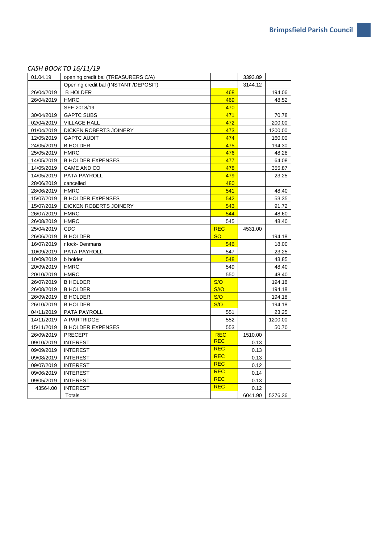| 01.04.19   | opening credit bal (TREASURERS C/A)   |            | 3393.89 |         |
|------------|---------------------------------------|------------|---------|---------|
|            | Opening credit bal (INSTANT /DEPOSIT) |            | 3144.12 |         |
| 26/04/2019 | <b>B HOLDER</b>                       | 468        |         | 194.06  |
| 26/04/2019 | <b>HMRC</b>                           | 469        |         | 48.52   |
|            | SEE 2018/19                           | 470        |         |         |
| 30/04/2019 | <b>GAPTC SUBS</b>                     | 471        |         | 70.78   |
| 02/04/2019 | <b>VILLAGE HALL</b>                   | 472        |         | 200.00  |
| 01/04/2019 | DICKEN ROBERTS JOINERY                | 473        |         | 1200.00 |
| 12/05/2019 | <b>GAPTC AUDIT</b>                    | 474        |         | 160.00  |
| 24/05/2019 | <b>B HOLDER</b>                       | 475        |         | 194.30  |
| 25/05/2019 | <b>HMRC</b>                           | 476        |         | 48.28   |
| 14/05/2019 | <b>B HOLDER EXPENSES</b>              | 477        |         | 64.08   |
| 14/05/2019 | CAME AND CO                           | 478        |         | 355.87  |
| 14/05/2019 | PATA PAYROLL                          | 479        |         | 23.25   |
| 28/06/2019 | cancelled                             | 480        |         |         |
| 28/06/2019 | <b>HMRC</b>                           | 541        |         | 48.40   |
| 15/07/2019 | <b>B HOLDER EXPENSES</b>              | 542        |         | 53.35   |
| 15/07/2019 | DICKEN ROBERTS JOINERY                | 543        |         | 91.72   |
| 26/07/2019 | <b>HMRC</b>                           | 544        |         | 48.60   |
| 26/08/2019 | <b>HMRC</b>                           | 545        |         | 48.40   |
| 25/04/2019 | <b>CDC</b>                            | <b>REC</b> | 4531.00 |         |
| 26/06/2019 | <b>B HOLDER</b>                       | <b>SO</b>  |         | 194.18  |
| 16/07/2019 | r lock-Denmans                        | 546        |         | 18.00   |
| 10/09/2019 | PATA PAYROLL                          | 547        |         | 23.25   |
| 10/09/2019 | b holder                              | 548        |         | 43.85   |
| 20/09/2019 | <b>HMRC</b>                           | 549        |         | 48.40   |
| 20/10/2019 | <b>HMRC</b>                           | 550        |         | 48.40   |
| 26/07/2019 | <b>B HOLDER</b>                       | S/O        |         | 194.18  |
| 26/08/2019 | <b>B HOLDER</b>                       | S//O       |         | 194.18  |
| 26/09/2019 | <b>B HOLDER</b>                       | S/O        |         | 194.18  |
| 26/10/2019 | <b>B HOLDER</b>                       | S/O        |         | 194.18  |
| 04/11/2019 | PATA PAYROLL                          | 551        |         | 23.25   |
| 14/11/2019 | A PARTRIDGE                           | 552        |         | 1200.00 |
| 15/11/2019 | <b>B HOLDER EXPENSES</b>              | 553        |         | 50.70   |
| 26/09/2019 | <b>PRECEPT</b>                        | <b>REC</b> | 1510.00 |         |
| 09/10/2019 | <b>INTEREST</b>                       | <b>REC</b> | 0.13    |         |
| 09/09/2019 | <b>INTEREST</b>                       | <b>REC</b> | 0.13    |         |
| 09/08/2019 | <b>INTEREST</b>                       | <b>REC</b> | 0.13    |         |
| 09/07/2019 | <b>INTEREST</b>                       | <b>REC</b> | 0.12    |         |
| 09/06/2019 | <b>INTEREST</b>                       | <b>REC</b> | 0.14    |         |
| 09/05/2019 | <b>INTEREST</b>                       | <b>REC</b> | 0.13    |         |
| 43564.00   | <b>INTEREST</b>                       | <b>REC</b> | 0.12    |         |
|            | Totals                                |            | 6041.90 | 5276.36 |

# *CASH BOOK TO 16/11/19*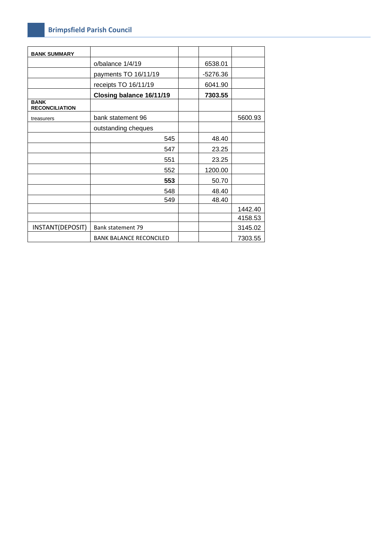## **Brimpsfield Parish Council**

| <b>BANK SUMMARY</b>                  |                                |          |         |
|--------------------------------------|--------------------------------|----------|---------|
|                                      | o/balance 1/4/19               | 6538.01  |         |
|                                      | payments TO 16/11/19           | -5276.36 |         |
|                                      | receipts TO 16/11/19           | 6041.90  |         |
|                                      | Closing balance 16/11/19       | 7303.55  |         |
| <b>BANK</b><br><b>RECONCILIATION</b> |                                |          |         |
| treasurers                           | bank statement 96              |          | 5600.93 |
|                                      | outstanding cheques            |          |         |
|                                      | 545                            | 48.40    |         |
|                                      | 547                            | 23.25    |         |
|                                      | 551                            | 23.25    |         |
|                                      | 552                            | 1200.00  |         |
|                                      | 553                            | 50.70    |         |
|                                      | 548                            | 48.40    |         |
|                                      | 549                            | 48.40    |         |
|                                      |                                |          | 1442.40 |
|                                      |                                |          | 4158.53 |
| INSTANT(DEPOSIT)                     | Bank statement 79              |          | 3145.02 |
|                                      | <b>BANK BALANCE RECONCILED</b> |          | 7303.55 |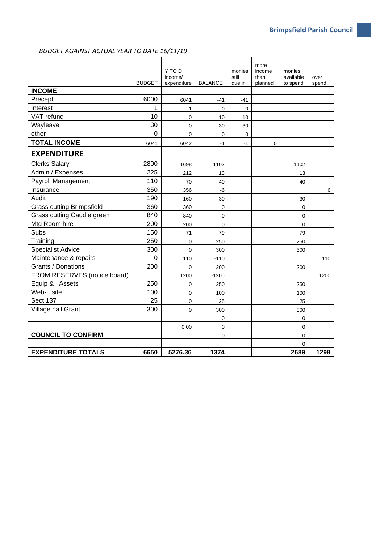## *BUDGET AGAINST ACTUAL YEAR TO DATE 16/11/19*

|                                  | <b>BUDGET</b>  | Y TO D<br>income/<br>expenditure | <b>BALANCE</b> | monies<br>still<br>due in | more<br>income<br>than<br>planned | monies<br>available<br>to spend | over<br>spend   |
|----------------------------------|----------------|----------------------------------|----------------|---------------------------|-----------------------------------|---------------------------------|-----------------|
| <b>INCOME</b>                    |                |                                  |                |                           |                                   |                                 |                 |
| Precept                          | 6000           | 6041                             | $-41$          | $-41$                     |                                   |                                 |                 |
| Interest                         | 1              | 1                                | $\mathbf 0$    | $\mathbf 0$               |                                   |                                 |                 |
| VAT refund                       | 10             | $\Omega$                         | 10             | 10                        |                                   |                                 |                 |
| Wayleave                         | 30             | $\mathbf 0$                      | 30             | 30                        |                                   |                                 |                 |
| other                            | $\overline{0}$ | $\Omega$                         | $\Omega$       | $\mathbf 0$               |                                   |                                 |                 |
| <b>TOTAL INCOME</b>              | 6041           | 6042                             | $-1$           | $-1$                      | 0                                 |                                 |                 |
| <b>EXPENDITURE</b>               |                |                                  |                |                           |                                   |                                 |                 |
| <b>Clerks Salary</b>             | 2800           | 1698                             | 1102           |                           |                                   | 1102                            |                 |
| Admin / Expenses                 | 225            | 212                              | 13             |                           |                                   | 13                              |                 |
| Payroll Management               | 110            | 70                               | 40             |                           |                                   | 40                              |                 |
| Insurance                        | 350            | 356                              | $-6$           |                           |                                   |                                 | $6\phantom{.0}$ |
| Audit                            | 190            | 160                              | 30             |                           |                                   | 30                              |                 |
| <b>Grass cutting Brimpsfield</b> | 360            | 360                              | 0              |                           |                                   | 0                               |                 |
| Grass cutting Caudle green       | 840            | 840                              | $\mathbf 0$    |                           |                                   | 0                               |                 |
| Mtg Room hire                    | 200            | 200                              | $\mathbf 0$    |                           |                                   | 0                               |                 |
| Subs                             | 150            | 71                               | 79             |                           |                                   | 79                              |                 |
| Training                         | 250            | $\mathbf 0$                      | 250            |                           |                                   | 250                             |                 |
| <b>Specialist Advice</b>         | 300            | $\mathbf 0$                      | 300            |                           |                                   | 300                             |                 |
| Maintenance & repairs            | 0              | 110                              | $-110$         |                           |                                   |                                 | 110             |
| Grants / Donations               | 200            | $\mathbf 0$                      | 200            |                           |                                   | 200                             |                 |
| FROM RESERVES (notice board)     |                | 1200                             | $-1200$        |                           |                                   |                                 | 1200            |
| Equip & Assets                   | 250            | $\mathbf 0$                      | 250            |                           |                                   | 250                             |                 |
| Web- site                        | 100            | $\mathbf 0$                      | 100            |                           |                                   | 100                             |                 |
| <b>Sect 137</b>                  | 25             | $\Omega$                         | 25             |                           |                                   | 25                              |                 |
| Village hall Grant               | 300            | $\mathbf 0$                      | 300            |                           |                                   | 300                             |                 |
|                                  |                |                                  | $\mathbf 0$    |                           |                                   | 0                               |                 |
|                                  |                | 0.00                             | $\mathbf 0$    |                           |                                   | 0                               |                 |
| <b>COUNCIL TO CONFIRM</b>        |                |                                  | $\overline{0}$ |                           |                                   | 0                               |                 |
|                                  |                |                                  |                |                           |                                   | $\overline{0}$                  |                 |
| <b>EXPENDITURE TOTALS</b>        | 6650           | 5276.36                          | 1374           |                           |                                   | 2689                            | 1298            |